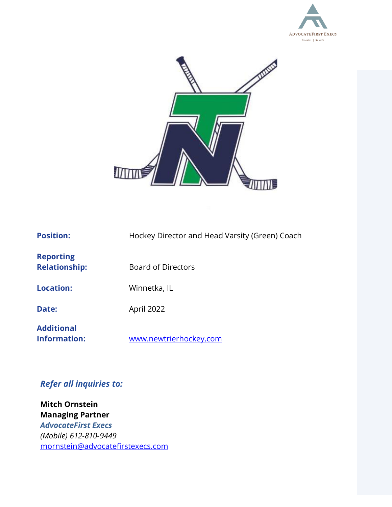



| <b>Position:</b>                         | Hockey Director and Head Varsity (Green) Coach |
|------------------------------------------|------------------------------------------------|
| <b>Reporting</b><br><b>Relationship:</b> | <b>Board of Directors</b>                      |
| <b>Location:</b>                         | Winnetka, IL                                   |
| Date:                                    | April 2022                                     |
| <b>Additional</b><br>Information:        | www.newtrierhockey.com                         |

# *Refer all inquiries to:*

**Mitch Ornstein Managing Partner** *AdvocateFirst Execs (Mobile) 612-810-9449* [mornstein@advocatefirstexecs.com](mailto:mornstein@felixglobal.com)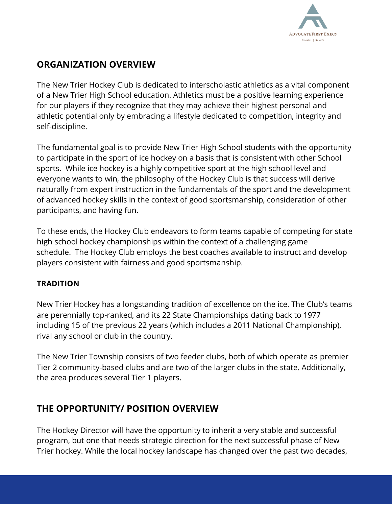

## **ORGANIZATION OVERVIEW**

The New Trier Hockey Club is dedicated to interscholastic athletics as a vital component of a New Trier High School education. Athletics must be a positive learning experience for our players if they recognize that they may achieve their highest personal and athletic potential only by embracing a lifestyle dedicated to competition, integrity and self-discipline.

The fundamental goal is to provide New Trier High School students with the opportunity to participate in the sport of ice hockey on a basis that is consistent with other School sports. While ice hockey is a highly competitive sport at the high school level and everyone wants to win, the philosophy of the Hockey Club is that success will derive naturally from expert instruction in the fundamentals of the sport and the development of advanced hockey skills in the context of good sportsmanship, consideration of other participants, and having fun.

To these ends, the Hockey Club endeavors to form teams capable of competing for state high school hockey championships within the context of a challenging game schedule. The Hockey Club employs the best coaches available to instruct and develop players consistent with fairness and good sportsmanship.

### **TRADITION**

New Trier Hockey has a longstanding tradition of excellence on the ice. The Club's teams are perennially top-ranked, and its 22 State Championships dating back to 1977 including 15 of the previous 22 years (which includes a 2011 National Championship), rival any school or club in the country.

The New Trier Township consists of two feeder clubs, both of which operate as premier Tier 2 community-based clubs and are two of the larger clubs in the state. Additionally, the area produces several Tier 1 players.

## **THE OPPORTUNITY/ POSITION OVERVIEW**

The Hockey Director will have the opportunity to inherit a very stable and successful program, but one that needs strategic direction for the next successful phase of New Trier hockey. While the local hockey landscape has changed over the past two decades,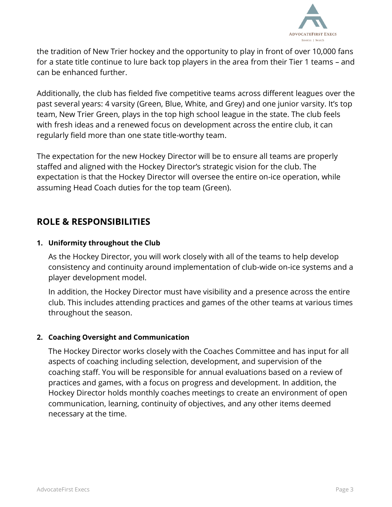

the tradition of New Trier hockey and the opportunity to play in front of over 10,000 fans for a state title continue to lure back top players in the area from their Tier 1 teams – and can be enhanced further.

Additionally, the club has fielded five competitive teams across different leagues over the past several years: 4 varsity (Green, Blue, White, and Grey) and one junior varsity. It's top team, New Trier Green, plays in the top high school league in the state. The club feels with fresh ideas and a renewed focus on development across the entire club, it can regularly field more than one state title-worthy team.

The expectation for the new Hockey Director will be to ensure all teams are properly staffed and aligned with the Hockey Director's strategic vision for the club. The expectation is that the Hockey Director will oversee the entire on-ice operation, while assuming Head Coach duties for the top team (Green).

## **ROLE & RESPONSIBILITIES**

### **1. Uniformity throughout the Club**

As the Hockey Director, you will work closely with all of the teams to help develop consistency and continuity around implementation of club-wide on-ice systems and a player development model.

In addition, the Hockey Director must have visibility and a presence across the entire club. This includes attending practices and games of the other teams at various times throughout the season.

#### **2. Coaching Oversight and Communication**

The Hockey Director works closely with the Coaches Committee and has input for all aspects of coaching including selection, development, and supervision of the coaching staff. You will be responsible for annual evaluations based on a review of practices and games, with a focus on progress and development. In addition, the Hockey Director holds monthly coaches meetings to create an environment of open communication, learning, continuity of objectives, and any other items deemed necessary at the time.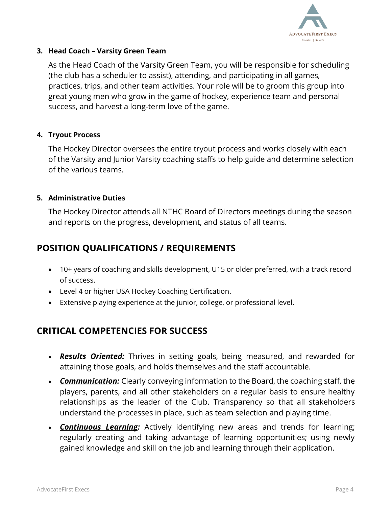

### **3. Head Coach – Varsity Green Team**

As the Head Coach of the Varsity Green Team, you will be responsible for scheduling (the club has a scheduler to assist), attending, and participating in all games, practices, trips, and other team activities. Your role will be to groom this group into great young men who grow in the game of hockey, experience team and personal success, and harvest a long-term love of the game.

### **4. Tryout Process**

The Hockey Director oversees the entire tryout process and works closely with each of the Varsity and Junior Varsity coaching staffs to help guide and determine selection of the various teams.

### **5. Administrative Duties**

The Hockey Director attends all NTHC Board of Directors meetings during the season and reports on the progress, development, and status of all teams.

# **POSITION QUALIFICATIONS / REQUIREMENTS**

- 10+ years of coaching and skills development, U15 or older preferred, with a track record of success.
- Level 4 or higher USA Hockey Coaching Certification.
- Extensive playing experience at the junior, college, or professional level.

## **CRITICAL COMPETENCIES FOR SUCCESS**

- *Results Oriented:* Thrives in setting goals, being measured, and rewarded for attaining those goals, and holds themselves and the staff accountable.
- *Communication:* Clearly conveying information to the Board, the coaching staff, the players, parents, and all other stakeholders on a regular basis to ensure healthy relationships as the leader of the Club. Transparency so that all stakeholders understand the processes in place, such as team selection and playing time.
- *Continuous Learning:* Actively identifying new areas and trends for learning; regularly creating and taking advantage of learning opportunities; using newly gained knowledge and skill on the job and learning through their application.